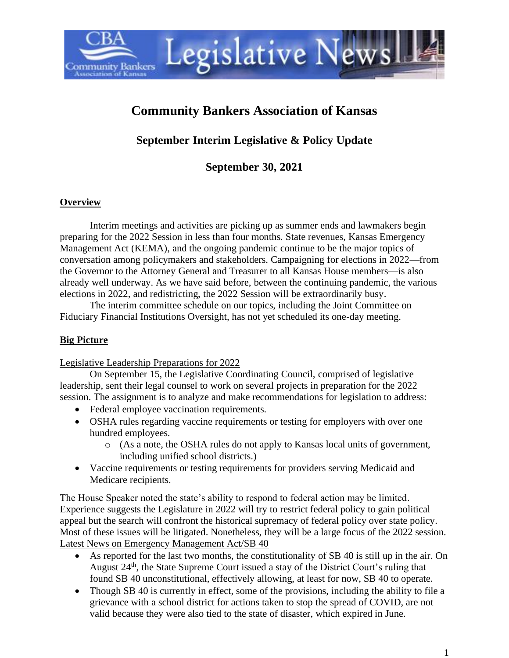# **Community Bankers Association of Kansas**

Legislative Newsl

# **September Interim Legislative & Policy Update**

**September 30, 2021**

#### **Overview**

**Community Bankers** 

Interim meetings and activities are picking up as summer ends and lawmakers begin preparing for the 2022 Session in less than four months. State revenues, Kansas Emergency Management Act (KEMA), and the ongoing pandemic continue to be the major topics of conversation among policymakers and stakeholders. Campaigning for elections in 2022—from the Governor to the Attorney General and Treasurer to all Kansas House members—is also already well underway. As we have said before, between the continuing pandemic, the various elections in 2022, and redistricting, the 2022 Session will be extraordinarily busy.

The interim committee schedule on our topics, including the Joint Committee on Fiduciary Financial Institutions Oversight, has not yet scheduled its one-day meeting.

#### **Big Picture**

Legislative Leadership Preparations for 2022

On September 15, the Legislative Coordinating Council, comprised of legislative leadership, sent their legal counsel to work on several projects in preparation for the 2022 session. The assignment is to analyze and make recommendations for legislation to address:

- Federal employee vaccination requirements.
- OSHA rules regarding vaccine requirements or testing for employers with over one hundred employees.
	- o (As a note, the OSHA rules do not apply to Kansas local units of government, including unified school districts.)
- Vaccine requirements or testing requirements for providers serving Medicaid and Medicare recipients.

The House Speaker noted the state's ability to respond to federal action may be limited. Experience suggests the Legislature in 2022 will try to restrict federal policy to gain political appeal but the search will confront the historical supremacy of federal policy over state policy. Most of these issues will be litigated. Nonetheless, they will be a large focus of the 2022 session. Latest News on Emergency Management Act/SB 40

- As reported for the last two months, the constitutionality of SB 40 is still up in the air. On August 24<sup>th</sup>, the State Supreme Court issued a stay of the District Court's ruling that found SB 40 unconstitutional, effectively allowing, at least for now, SB 40 to operate.
- Though SB 40 is currently in effect, some of the provisions, including the ability to file a grievance with a school district for actions taken to stop the spread of COVID, are not valid because they were also tied to the state of disaster, which expired in June.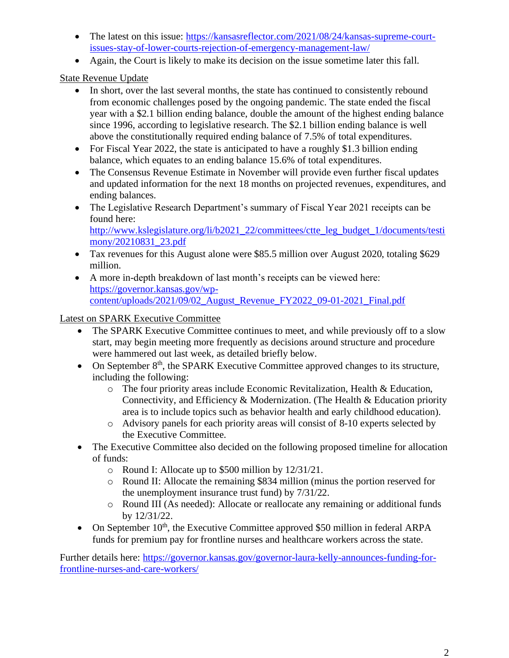- The latest on this issue: [https://kansasreflector.com/2021/08/24/kansas-supreme-court](https://kansasreflector.com/2021/08/24/kansas-supreme-court-issues-stay-of-lower-courts-rejection-of-emergency-management-law/)[issues-stay-of-lower-courts-rejection-of-emergency-management-law/](https://kansasreflector.com/2021/08/24/kansas-supreme-court-issues-stay-of-lower-courts-rejection-of-emergency-management-law/)
- Again, the Court is likely to make its decision on the issue sometime later this fall.

State Revenue Update

- In short, over the last several months, the state has continued to consistently rebound from economic challenges posed by the ongoing pandemic. The state ended the fiscal year with a \$2.1 billion ending balance, double the amount of the highest ending balance since 1996, according to legislative research. The \$2.1 billion ending balance is well above the constitutionally required ending balance of 7.5% of total expenditures.
- For Fiscal Year 2022, the state is anticipated to have a roughly \$1.3 billion ending balance, which equates to an ending balance 15.6% of total expenditures.
- The Consensus Revenue Estimate in November will provide even further fiscal updates and updated information for the next 18 months on projected revenues, expenditures, and ending balances.
- The Legislative Research Department's summary of Fiscal Year 2021 receipts can be found here: [http://www.kslegislature.org/li/b2021\\_22/committees/ctte\\_leg\\_budget\\_1/documents/testi](http://www.kslegislature.org/li/b2021_22/committees/ctte_leg_budget_1/documents/testimony/20210831_23.pdf)

[mony/20210831\\_23.pdf](http://www.kslegislature.org/li/b2021_22/committees/ctte_leg_budget_1/documents/testimony/20210831_23.pdf)

- Tax revenues for this August alone were \$85.5 million over August 2020, totaling \$629 million.
- A more in-depth breakdown of last month's receipts can be viewed here: [https://governor.kansas.gov/wp](https://governor.kansas.gov/wp-content/uploads/2021/09/02_August_Revenue_FY2022_09-01-2021_Final.pdf)[content/uploads/2021/09/02\\_August\\_Revenue\\_FY2022\\_09-01-2021\\_Final.pdf](https://governor.kansas.gov/wp-content/uploads/2021/09/02_August_Revenue_FY2022_09-01-2021_Final.pdf)

### Latest on SPARK Executive Committee

- The SPARK Executive Committee continues to meet, and while previously off to a slow start, may begin meeting more frequently as decisions around structure and procedure were hammered out last week, as detailed briefly below.
- On September  $8<sup>th</sup>$ , the SPARK Executive Committee approved changes to its structure, including the following:
	- o The four priority areas include Economic Revitalization, Health & Education, Connectivity, and Efficiency & Modernization. (The Health & Education priority area is to include topics such as behavior health and early childhood education).
	- o Advisory panels for each priority areas will consist of 8-10 experts selected by the Executive Committee.
- The Executive Committee also decided on the following proposed timeline for allocation of funds:
	- o Round I: Allocate up to \$500 million by 12/31/21.
	- o Round II: Allocate the remaining \$834 million (minus the portion reserved for the unemployment insurance trust fund) by 7/31/22.
	- o Round III (As needed): Allocate or reallocate any remaining or additional funds by 12/31/22.
- On September  $10^{th}$ , the Executive Committee approved \$50 million in federal ARPA funds for premium pay for frontline nurses and healthcare workers across the state.

Further details here: [https://governor.kansas.gov/governor-laura-kelly-announces-funding-for](https://governor.kansas.gov/governor-laura-kelly-announces-funding-for-frontline-nurses-and-care-workers/)[frontline-nurses-and-care-workers/](https://governor.kansas.gov/governor-laura-kelly-announces-funding-for-frontline-nurses-and-care-workers/)